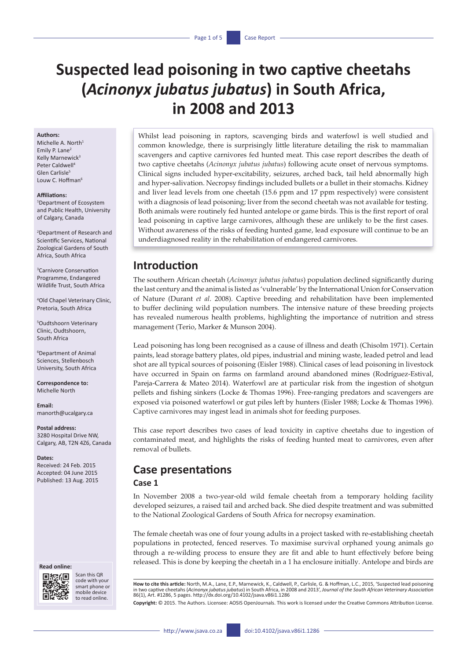# **Suspected lead poisoning in two captive cheetahs (***Acinonyx jubatus jubatus***) in South Africa, in 2008 and 2013**

#### **Authors:**

Michelle A. North<sup>1</sup> Emily P. Lane<sup>2</sup> Kelly Marnewick<sup>3</sup> Peter Caldwell<sup>4</sup> Glen Carlisle<sup>5</sup> Louw C. Hoffman<sup>6</sup>

#### **Affiliations:**

1 Department of Ecosystem and Public Health, University of Calgary, Canada

2 Department of Research and Scientific Services, National Zoological Gardens of South Africa, South Africa

3 Carnivore Conservation Programme, Endangered Wildlife Trust, South Africa

4 Old Chapel Veterinary Clinic, Pretoria, South Africa

5 Oudtshoorn Veterinary Clinic, Oudtshoorn, South Africa

6 Department of Animal Sciences, Stellenbosch University, South Africa

**Correspondence to:** Michelle North

**Email:** [manorth@ucalgary.ca](mailto:manorth@ucalgary.ca)

**Postal address:**

3280 Hospital Drive NW, Calgary, AB, T2N 4Z6, Canada

**Dates:** Received: 24 Feb. 2015 Accepted: 04 June 2015 Published: 13 Aug. 2015

#### **Read online:**



Scan this QR code with your smart phone or mobile device to read online.

Whilst lead poisoning in raptors, scavenging birds and waterfowl is well studied and common knowledge, there is surprisingly little literature detailing the risk to mammalian scavengers and captive carnivores fed hunted meat. This case report describes the death of two captive cheetahs (*Acinonyx jubatus jubatus*) following acute onset of nervous symptoms. Clinical signs included hyper-excitability, seizures, arched back, tail held abnormally high and hyper-salivation. Necropsy findings included bullets or a bullet in their stomachs. Kidney and liver lead levels from one cheetah (15.6 ppm and 17 ppm respectively) were consistent with a diagnosis of lead poisoning; liver from the second cheetah was not available for testing. Both animals were routinely fed hunted antelope or game birds. This is the first report of oral lead poisoning in captive large carnivores, although these are unlikely to be the first cases. Without awareness of the risks of feeding hunted game, lead exposure will continue to be an underdiagnosed reality in the rehabilitation of endangered carnivores.

## **Introduction**

The southern African cheetah (*Acinonyx jubatus jubatus*) population declined significantly during the last century and the animal is listed as 'vulnerable' by the International Union for Conservation of Nature (Durant *et al*. 2008). Captive breeding and rehabilitation have been implemented to buffer declining wild population numbers. The intensive nature of these breeding projects has revealed numerous health problems, highlighting the importance of nutrition and stress management (Terio, Marker & Munson 2004).

Lead poisoning has long been recognised as a cause of illness and death (Chisolm 1971). Certain paints, lead storage battery plates, old pipes, industrial and mining waste, leaded petrol and lead shot are all typical sources of poisoning (Eisler 1988). Clinical cases of lead poisoning in livestock have occurred in Spain on farms on farmland around abandoned mines (Rodríguez-Estival, Pareja-Carrera & Mateo 2014). Waterfowl are at particular risk from the ingestion of shotgun pellets and fishing sinkers (Locke & Thomas 1996). Free-ranging predators and scavengers are exposed via poisoned waterfowl or gut piles left by hunters (Eisler 1988; Locke & Thomas 1996). Captive carnivores may ingest lead in animals shot for feeding purposes.

This case report describes two cases of lead toxicity in captive cheetahs due to ingestion of contaminated meat, and highlights the risks of feeding hunted meat to carnivores, even after removal of bullets.

## **Case presentations**

#### **Case 1**

In November 2008 a two-year-old wild female cheetah from a temporary holding facility developed seizures, a raised tail and arched back. She died despite treatment and was submitted to the National Zoological Gardens of South Africa for necropsy examination.

The female cheetah was one of four young adults in a project tasked with re-establishing cheetah populations in protected, fenced reserves. To maximise survival orphaned young animals go through a re-wilding process to ensure they are fit and able to hunt effectively before being released. This is done by keeping the cheetah in a 1 ha enclosure initially. Antelope and birds are

**Copyright:** © 2015. The Authors. Licensee: AOSIS OpenJournals. This work is licensed under the Creative Commons Attribution License.

**How to cite this article:** North, M.A., Lane, E.P., Marnewick, K., Caldwell, P., Carlisle, G. & Hoffman, L.C., 2015, 'Suspected lead poisoning in two captive cheetahs (*Acinonyx jubatus jubatus*) in South Africa, in 2008 and 2013', *Journal of the South African Veterinary Association* 86(1), Art. #1286, 5 pages.<http://dx.doi.org/10.4102/jsava.v86i1.1286>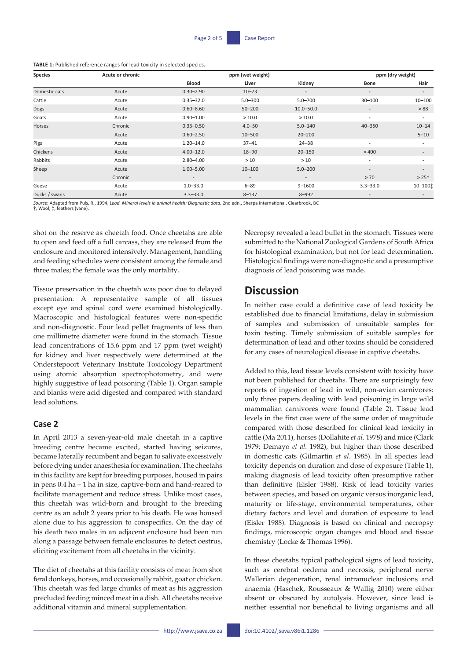**TABLE 1:** Published reference ranges for lead toxicity in selected species.

| <b>Species</b> | Acute or chronic |                          | ppm (wet weight)         |                          | ppm (dry weight)         |                          |
|----------------|------------------|--------------------------|--------------------------|--------------------------|--------------------------|--------------------------|
|                |                  | <b>Blood</b>             | Liver                    | Kidney                   | Bone                     | Hair                     |
| Domestic cats  | Acute            | $0.30 - 2.90$            | $10 - 73$                | $\overline{\phantom{a}}$ | $\overline{\phantom{a}}$ | $\overline{\phantom{a}}$ |
| Cattle         | Acute            | $0.35 - 32.0$            | $5.0 - 300$              | $5.0 - 700$              | $30 - 100$               | $10 - 100$               |
| Dogs           | Acute            | $0.60 - 8.60$            | $50 - 200$               | $10.0 - 50.0$            | $\overline{\phantom{a}}$ | > 88                     |
| Goats          | Acute            | $0.90 - 1.00$            | >10.0                    | >10.0                    | $\overline{a}$           | $\overline{\phantom{a}}$ |
| Horses         | Chronic          | $0.33 - 0.50$            | $4.0 - 50$               | $5.0 - 140$              | $40 - 350$               | $10 - 14$                |
|                | Acute            | $0.60 - 2.50$            | $10 - 500$               | $20 - 200$               |                          | $5 - 10$                 |
| Pigs           | Acute            | $1.20 - 14.0$            | $37 - 41$                | $24 - 38$                | $\overline{\phantom{a}}$ | $\overline{\phantom{a}}$ |
| Chickens       | Acute            | $4.00 - 12.0$            | $18 - 90$                | $20 - 150$               | >400                     | $\overline{\phantom{0}}$ |
| Rabbits        | Acute            | $2.80 - 4.00$            | >10                      | >10                      | $\overline{\phantom{a}}$ |                          |
| Sheep          | Acute            | $1.00 - 5.00$            | $10 - 100$               | $5.0 - 200$              | $\overline{\phantom{a}}$ | $\overline{\phantom{0}}$ |
|                | Chronic          | $\overline{\phantom{a}}$ | $\overline{\phantom{a}}$ | $\overline{\phantom{a}}$ | > 70                     | $>25+$                   |
| Geese          | Acute            | $1.0 - 33.0$             | $6 - 89$                 | $9 - 1600$               | $3.3 - 33.0$             | $10 - 100$               |
| Ducks / swans  | Acute            | $3.3 - 33.0$             | $8 - 137$                | $8 - 992$                | $\overline{\phantom{0}}$ |                          |

*Source*: Adapted from Puls, R., 1994, *Lead. Mineral levels in animal health: Diagnostic data*, 2nd edn., Sherpa International, Clearbrook, BC

†, Wool; ‡, feathers (vane).

shot on the reserve as cheetah food. Once cheetahs are able to open and feed off a full carcass, they are released from the enclosure and monitored intensively. Management, handling and feeding schedules were consistent among the female and three males; the female was the only mortality.

Tissue preservation in the cheetah was poor due to delayed presentation. A representative sample of all tissues except eye and spinal cord were examined histologically. Macroscopic and histological features were non-specific and non-diagnostic. Four lead pellet fragments of less than one millimetre diameter were found in the stomach. Tissue lead concentrations of 15.6 ppm and 17 ppm (wet weight) for kidney and liver respectively were determined at the Onderstepoort Veterinary Institute Toxicology Department using atomic absorption spectrophotometry, and were highly suggestive of lead poisoning (Table 1). Organ sample and blanks were acid digested and compared with standard lead solutions.

## **Case 2**

In April 2013 a seven-year-old male cheetah in a captive breeding centre became excited, started having seizures, became laterally recumbent and began to salivate excessively before dying under anaesthesia for examination. The cheetahs in this facility are kept for breeding purposes, housed in pairs in pens 0.4 ha – 1 ha in size, captive-born and hand-reared to facilitate management and reduce stress. Unlike most cases, this cheetah was wild-born and brought to the breeding centre as an adult 2 years prior to his death. He was housed alone due to his aggression to conspecifics. On the day of his death two males in an adjacent enclosure had been run along a passage between female enclosures to detect oestrus, eliciting excitement from all cheetahs in the vicinity.

The diet of cheetahs at this facility consists of meat from shot feral donkeys, horses, and occasionally rabbit, goat or chicken. This cheetah was fed large chunks of meat as his aggression precluded feeding minced meat in a dish. All cheetahs receive additional vitamin and mineral supplementation.

Necropsy revealed a lead bullet in the stomach. Tissues were submitted to the National Zoological Gardens of South Africa for histological examination, but not for lead determination. Histological findings were non-diagnostic and a presumptive diagnosis of lead poisoning was made.

# **Discussion**

In neither case could a definitive case of lead toxicity be established due to financial limitations, delay in submission of samples and submission of unsuitable samples for toxin testing. Timely submission of suitable samples for determination of lead and other toxins should be considered for any cases of neurological disease in captive cheetahs.

Added to this, lead tissue levels consistent with toxicity have not been published for cheetahs. There are surprisingly few reports of ingestion of lead in wild, non-avian carnivores: only three papers dealing with lead poisoning in large wild mammalian carnivores were found (Table 2). Tissue lead levels in the first case were of the same order of magnitude compared with those described for clinical lead toxicity in cattle (Ma 2011), horses (Dollahite *et al*. 1978) and mice (Clark 1979; Demayo *et al*. 1982), but higher than those described in domestic cats (Gilmartin *et al*. 1985). In all species lead toxicity depends on duration and dose of exposure (Table 1), making diagnosis of lead toxicity often presumptive rather than definitive (Eisler 1988). Risk of lead toxicity varies between species, and based on organic versus inorganic lead, maturity or life-stage, environmental temperatures, other dietary factors and level and duration of exposure to lead (Eisler 1988). Diagnosis is based on clinical and necropsy findings, microscopic organ changes and blood and tissue chemistry (Locke & Thomas 1996).

In these cheetahs typical pathological signs of lead toxicity, such as cerebral oedema and necrosis, peripheral nerve Wallerian degeneration, renal intranuclear inclusions and anaemia (Haschek, Rousseaux & Wallig 2010) were either absent or obscured by autolysis. However, since lead is neither essential nor beneficial to living organisms and all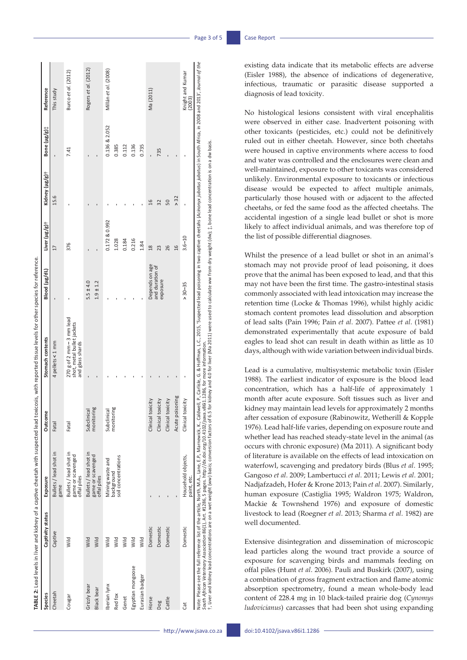|                            |                  |                                                                                                                                                                                                                                         |                           | TABLE 2: Lead levels in liver and kidney of a captive cheetah with suspected lead toxicosis, with reported tissue levels for other species for reference.                                                                                                                                                                                                                       |                                |                           |                |               |                            |
|----------------------------|------------------|-----------------------------------------------------------------------------------------------------------------------------------------------------------------------------------------------------------------------------------------|---------------------------|---------------------------------------------------------------------------------------------------------------------------------------------------------------------------------------------------------------------------------------------------------------------------------------------------------------------------------------------------------------------------------|--------------------------------|---------------------------|----------------|---------------|----------------------------|
| Species                    | Captivity status | Exposure                                                                                                                                                                                                                                | Outcome                   | Stomach contents                                                                                                                                                                                                                                                                                                                                                                | Blood (µg/dL)                  | Liver (µg/g) <sup>+</sup> | Kidney (µg/g)† | Bone (µg/g):  | Reference                  |
| Cheetah                    | Captive          | Bullets / lead shot in<br>game                                                                                                                                                                                                          | Fatal                     | 4 pellets < 1 mm                                                                                                                                                                                                                                                                                                                                                                |                                | 17                        | 15.6           |               | This study                 |
| Cougar                     | Wild             | Bullets / lead shot in<br>game or scavenged<br>offal piles                                                                                                                                                                              | Fatal                     | $270$ g of 2 mm $-3$ mm lead<br>shot, metal bullet jackets<br>and glass shards                                                                                                                                                                                                                                                                                                  |                                | 376                       |                | 7.41          | Burco et al. (2012)        |
| Grizzly bear<br>Black bear | Wild<br>Wild     | Bullets / lead shot in<br>game or scavenged<br>offal piles                                                                                                                                                                              | monitoring<br>Subclinical |                                                                                                                                                                                                                                                                                                                                                                                 | $1.9 \pm 1.2$<br>$5.5 \pm 4.0$ |                           |                |               | Rogers et al. (2012)       |
|                            |                  |                                                                                                                                                                                                                                         |                           |                                                                                                                                                                                                                                                                                                                                                                                 |                                |                           |                |               |                            |
| Iberian lynx               | Wild             | Mining waste and                                                                                                                                                                                                                        | Subclinical               |                                                                                                                                                                                                                                                                                                                                                                                 |                                | 0.172 & 0.992             |                | 0.136 & 2.052 | Millán et al. (2008)       |
| Red fox                    | Wild             | soil concentrations<br>background                                                                                                                                                                                                       | monitoring                |                                                                                                                                                                                                                                                                                                                                                                                 |                                | 1.028                     |                | 0.385         |                            |
| Genet                      | Wild             |                                                                                                                                                                                                                                         |                           |                                                                                                                                                                                                                                                                                                                                                                                 |                                | 0.184                     |                | 0.112         |                            |
| Egyptian mongoose          | Wild             |                                                                                                                                                                                                                                         |                           |                                                                                                                                                                                                                                                                                                                                                                                 |                                | 0.216                     |                | 0.136         |                            |
| Eurasian badger            | Wild             |                                                                                                                                                                                                                                         |                           |                                                                                                                                                                                                                                                                                                                                                                                 |                                | 1.84                      |                | 0.735         |                            |
| Horse                      | Domestic         |                                                                                                                                                                                                                                         | Clinical toxicity         |                                                                                                                                                                                                                                                                                                                                                                                 | Depends on age                 | 18                        | $\mathfrak{a}$ |               | Ma (2011)                  |
| Dog                        | Domestic         |                                                                                                                                                                                                                                         | Clinical toxicity         |                                                                                                                                                                                                                                                                                                                                                                                 | and duration of<br>exposure    | 23                        | 32             | 735           |                            |
| Cattle                     | Domestic         |                                                                                                                                                                                                                                         | Clinical toxicity         |                                                                                                                                                                                                                                                                                                                                                                                 |                                | 26                        | 50             |               |                            |
|                            |                  |                                                                                                                                                                                                                                         | Acute poisoning           |                                                                                                                                                                                                                                                                                                                                                                                 |                                | 16                        | > 32           |               |                            |
| đ                          | Domestic         | Household objects,<br>paint, etc.                                                                                                                                                                                                       | Clinical toxicity         |                                                                                                                                                                                                                                                                                                                                                                                 | $> 30 - 35$                    | $3.6 - 10$                |                |               | Knight and Kumar<br>(2003) |
|                            |                  | South African Veterinary Association 86(1), Art. #1286, 5 pages. http://dx.doi.org/10.4102/jsava.v8611.1286, for more information.<br>t, Liver and kidney lead concentrations are on a wet weight (ww) basis; conversion factors of 6.5 |                           | Note: Please see the full reference list of the article, North, M.A., Lane, E. P., Marnewick, K., Caldwell, P., Carlisle, G. & Hoffman, L.C., 2015, "Suspected lead poisoning in two captive cheetahs (Acinonyx jubotus) in So<br>for kidney and 4.0 for liver (Ma 2011) were used to calculate ww from dry weight (dw); $\ddagger$ , bone lead concentration is on a dw basis. |                                |                           |                |               |                            |

existing data indicate that its metabolic effects are adverse (Eisler 1988), the absence of indications of degenerative, infectious, traumatic or parasitic disease supported a diagnosis of lead toxicity.

No histological lesions consistent with viral encephalitis were observed in either case. Inadvertent poisoning with other toxicants (pesticides, etc.) could not be definitively ruled out in either cheetah. However, since both cheetahs were housed in captive environments where access to food and water was controlled and the enclosures were clean and well-maintained, exposure to other toxicants was considered unlikely. Environmental exposure to toxicants or infectious disease would be expected to affect multiple animals, particularly those housed with or adjacent to the affected cheetahs, or fed the same food as the affected cheetahs. The accidental ingestion of a single lead bullet or shot is more likely to affect individual animals, and was therefore top of the list of possible differential diagnoses.

Whilst the presence of a lead bullet or shot in an animal's stomach may not provide proof of lead poisoning, it does prove that the animal has been exposed to lead, and that this may not have been the first time. The gastro-intestinal stasis commonly associated with lead intoxication may increase the retention time (Locke & Thomas 1996), whilst highly acidic stomach content promotes lead dissolution and absorption of lead salts (Pain 1996; Pain *et al*. 2007). Pattee *et al*. (1981) demonstrated experimentally that acute exposure of bald eagles to lead shot can result in death within as little as 10 days, although with wide variation between individual birds.

Lead is a cumulative, multisystemic metabolic toxin (Eisler 1988). The earliest indicator of exposure is the blood lead concentration, which has a half-life of approximately 1 month after acute exposure. Soft tissues such as liver and kidney may maintain lead levels for approximately 2 months after cessation of exposure (Rabinowitz, Wetherill & Kopple 1976). Lead half-life varies, depending on exposure route and whether lead has reached steady-state level in the animal (as occurs with chronic exposure) (Ma 2011). A significant body of literature is available on the effects of lead intoxication on waterfowl, scavenging and predatory birds (Blus *et al*. 1995; Gangoso *et al*. 2009; Lambertucci *et al*. 2011; Lewis *et al*. 2001; Nadjafzadeh, Hofer & Krone 2013; Pain *et al*. 2007). Similarly, human exposure (Castiglia 1995; Waldron 1975; Waldron, Mackie & Townshend 1976) and exposure of domestic livestock to lead (Roegner *et al*. 2013; Sharma *et al*. 1982) are well documented.

Extensive disintegration and dissemination of microscopic lead particles along the wound tract provide a source of exposure for scavenging birds and mammals feeding on offal piles (Hunt *et al*. 2006). Pauli and Buskirk (2007), using a combination of gross fragment extraction and flame atomic absorption spectrometry, found a mean whole-body lead content of 228.4 mg in 10 black-tailed prairie dog (*Cynomys ludovicianus*) carcasses that had been shot using expanding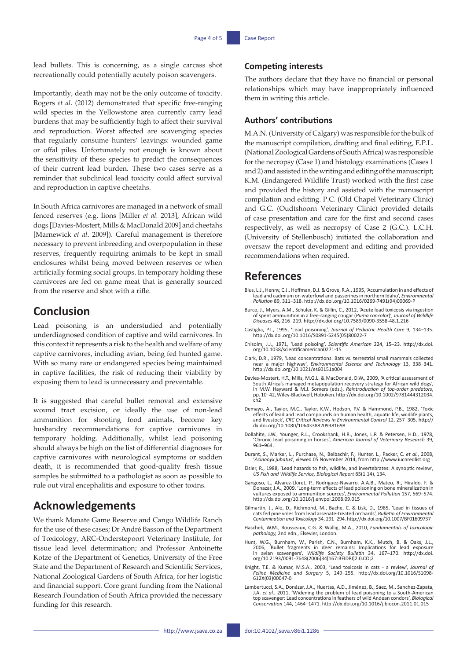lead bullets. This is concerning, as a single carcass shot recreationally could potentially acutely poison scavengers.

Importantly, death may not be the only outcome of toxicity. Rogers *et al*. (2012) demonstrated that specific free-ranging wild species in the Yellowstone area currently carry lead burdens that may be sufficiently high to affect their survival and reproduction. Worst affected are scavenging species that regularly consume hunters' leavings: wounded game or offal piles. Unfortunately not enough is known about the sensitivity of these species to predict the consequences of their current lead burden. These two cases serve as a reminder that subclinical lead toxicity could affect survival and reproduction in captive cheetahs.

In South Africa carnivores are managed in a network of small fenced reserves (e.g. lions [Miller *et al.* 2013], African wild dogs [Davies-Mostert, Mills & MacDonald 2009] and cheetahs [Marnewick *et al*. 2009]). Careful management is therefore necessary to prevent inbreeding and overpopulation in these reserves, frequently requiring animals to be kept in small enclosures whilst being moved between reserves or when artificially forming social groups. In temporary holding these carnivores are fed on game meat that is generally sourced from the reserve and shot with a rifle.

## **Conclusion**

Lead poisoning is an understudied and potentially underdiagnosed condition of captive and wild carnivores. In this context it represents a risk to the health and welfare of any captive carnivores, including avian, being fed hunted game. With so many rare or endangered species being maintained in captive facilities, the risk of reducing their viability by exposing them to lead is unnecessary and preventable.

It is suggested that careful bullet removal and extensive wound tract excision, or ideally the use of non-lead ammunition for shooting food animals, become key husbandry recommendations for captive carnivores in temporary holding. Additionally, whilst lead poisoning should always be high on the list of differential diagnoses for captive carnivores with neurological symptoms or sudden death, it is recommended that good-quality fresh tissue samples be submitted to a pathologist as soon as possible to rule out viral encephalitis and exposure to other toxins.

## **Acknowledgements**

We thank Monate Game Reserve and Cango Wildlife Ranch for the use of these cases; Dr André Basson of the Department of Toxicology, ARC-Onderstepoort Veterinary Institute, for tissue lead level determination; and Professor Antoinette Kotze of the Department of Genetics, University of the Free State and the Department of Research and Scientific Services, National Zoological Gardens of South Africa, for her logistic and financial support. Core grant funding from the National Research Foundation of South Africa provided the necessary funding for this research.

## **Competing interests**

The authors declare that they have no financial or personal relationships which may have inappropriately influenced them in writing this article.

#### **Authors' contributions**

M.A.N. (University of Calgary) was responsible for the bulk of the manuscript compilation, drafting and final editing, E.P.L. (National Zoological Gardens of South Africa) was responsible for the necropsy (Case 1) and histology examinations (Cases 1 and 2) and assisted in the writing and editing of the manuscript; K.M. (Endangered Wildlife Trust) worked with the first case and provided the history and assisted with the manuscript compilation and editing. P.C. (Old Chapel Veterinary Clinic) and G.C. (Oudtshoorn Veterinary Clinic) provided details of case presentation and care for the first and second cases respectively, as well as necropsy of Case 2 (G.C.). L.C.H. (University of Stellenbosch) initiated the collaboration and oversaw the report development and editing and provided recommendations when required.

## **References**

- Blus, L.J., Henny, C.J., Hoffman, D.J. & Grove, R.A., 1995, 'Accumulation in and effects of lead and cadmium on waterfowl and passerines in northern Idaho', *Environmental Pollution* 89, 311–318. [http://dx.doi.org/10.1016/0269-7491\(94\)00069-P](http://dx.doi.org/10.1016/0269-7491(94)00069-P)
- Burco, J., Myers, A.M., Schuler, K. & Gillin, C., 2012, 'Acute lead toxicosis via ingestion of spent ammunition in a free-ranging cougar (*Puma concolor*)', *Journal of Wildlife Diseases* 48**,** 216–219.<http://dx.doi.org/10.7589/0090-3558-48.1.216>
- Castiglia, P.T., 1995, 'Lead poisoning', *Journal of Pediatric Health Care* 9, 134–135. [http://dx.doi.org/10.1016/S0891-5245\(05\)80022-7](http://dx.doi.org/10.1016/S0891-5245(05)80022-7)
- Chisolm, J.J., 1971, 'Lead poisoing', *Scientific American* 224, 15–23. [http://dx.doi.](http://dx.doi.org/10.1038/scientificamerican0271-15) [org/10.1038/scientificamerican0271-15](http://dx.doi.org/10.1038/scientificamerican0271-15)
- Clark, D.R., 1979, 'Lead concentrations: Bats vs. terrestrial small mammals collected near a major highway', *Environmental Science and Technology* 13, 338–341. <http://dx.doi.org/10.1021/es60151a004>
- Davies-Mostert, H.T., Mills, M.G.L. & MacDonald, D.W., 2009, 'A critical assessment of South Africa's managed metapopulation recovery strategy for African wild dogs', in M.W. Hayward & M.J. Somers (eds.), *Reintroduction of top-order predators*, pp. 10–42, Wiley-Blackwell, Hoboken. [http://dx.doi.org/10.1002/9781444312034.](http://dx.doi.org/10.1002/9781444312034.ch2) [ch2](http://dx.doi.org/10.1002/9781444312034.ch2)
- Demayo, A., Taylor, M.C., Taylor, K.W., Hodson, P.V. & Hammond, P.B., 1982, 'Toxic effects of lead and lead compounds on human health, aquatic life, wildlife plants, and livestock', *CRC Critical Reviews in Environmental Control* 12, 257–305. [http://](http://dx.doi.org/10.1080/10643388209381698) [dx.doi.org/10.1080/10643388209381698](http://dx.doi.org/10.1080/10643388209381698)
- Dollahite, J.W., Younger, R.L., Crookshank, H.R., Jones, L.P. & Petersen, H.D., 1978, 'Chronic lead poisoning in horses', *American Journal of Veterinary Research* 39, 961–964.
- Durant, S., Marker, L., Purchase, N., Belbachir, F., Hunter, L., Packer, C. *et al.*, 2008, '*Acinonyx jubatus*', viewed 05 November 2014, from [http://www.iucnredlist.org](http://www.iucnredlist.org/)
- Eisler, R., 1988, 'Lead hazards to fish, wildlife, and invertebrates: A synoptic review', *US Fish and Wildlife Service, Biological Report* 85(1.14), 134.
- Gangoso, L., Alvarez-Lloret, P., Rodriguez-Navarro, A.A.B., Mateo, R., Hiraldo, F. & Donazar, J.A., 2009, 'Long-term effects of lead poisoning on bone mineralization in vultures exposed to ammunition sources', *Environment* <http://dx.doi.org/10.1016/j.envpol.2008.09.015>
- Gilmartin, J., Alo, D., Richmond, M., Bache, C. & Lisk, D., 1985, 'Lead in tissues of cats fed pine voles from lead arsenate-treated orchards', *Bulletin of Environmental Contamination and Toxicology* 34, 291–294. <http://dx.doi.org/10.1007/BF01609737>
- Haschek, W.M., Rousseaux, C.G. & Wallig, M.A., 2010, *Fundamentals of toxicologic pathology,* 2nd edn., Elsevier, London.
- Hunt, W.G., Burnham, W., Parish, C.N., Burnham, K.K., Mutch, B. & Oaks, J.L.,<br>2006, 'Bullet fragments in deer remains: Implications for lead exposure<br>in avian scavengers', Wildlife Society Bulletin 34, 167–170. http://dx.d [org/10.2193/0091-7648\(2006\)34\[167:BFIDRI\]2.0.CO;2](http://dx.doi.org/10.2193/0091-7648(2006)34%5b167:BFIDRI%5d2.0.CO;2)
- Knight, T.E. & Kumar, M.S.A., 2003, 'Lead toxicosis in cats a review', *Journal of Feline Medicine and Surgery* 5, 249–255. [http://dx.doi.org/10.1016/S1098-](http://dx.doi.org/10.1016/S1098-612X(03)00047-0) [612X\(03\)00047-0](http://dx.doi.org/10.1016/S1098-612X(03)00047-0)
- Lambertucci, S.A., Donázar, J.A., Huertas, A.D., Jiménez, B., Sáez, M., Sanchez-Zapata, J.A. *et al.*, 2011, 'Widening the problem of lead poisoning to a South-American top scavenger: Lead concentrations in feathers of wild Andean condors', *Biological Conservation* 144, 1464–1471. <http://dx.doi.org/10.1016/j.biocon.2011.01.015>